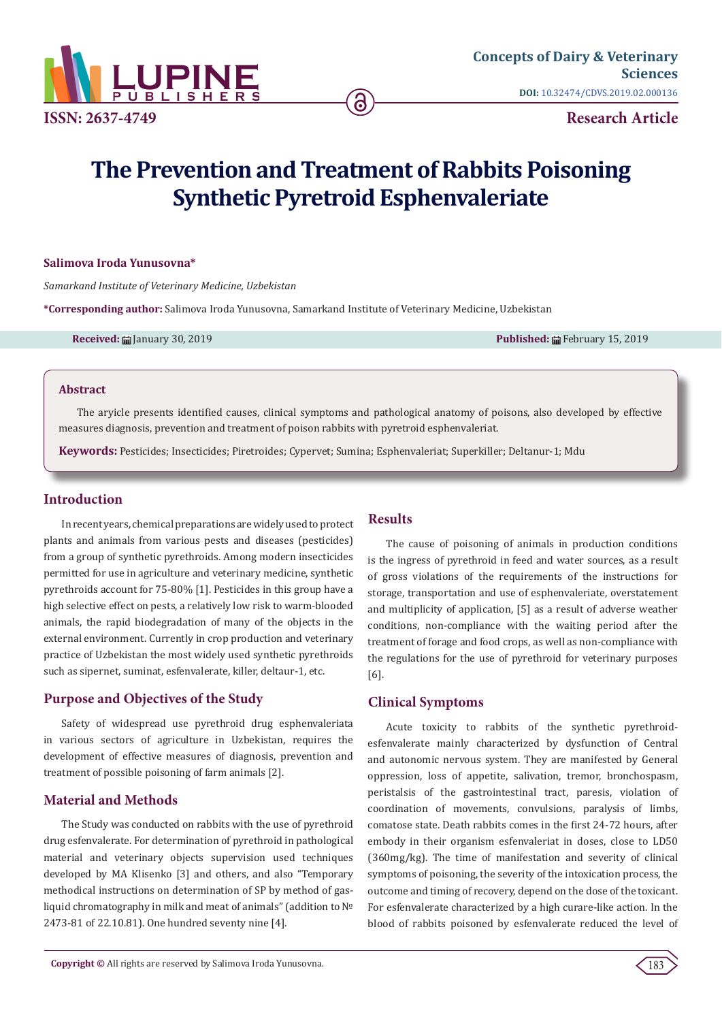

# **The Prevention and Treatment of Rabbits Poisoning Synthetic Pyretroid Esphenvaleriate**

ခ

#### **Salimova Iroda Yunusovna\***

*Samarkand Institute of Veterinary Medicine, Uzbekistan*

**\*Corresponding author:** Salimova Iroda Yunusovna, Samarkand Institute of Veterinary Medicine, Uzbekistan

**Received:** January 30, 2019 **Published:** February 15, 2019

#### **Abstract**

The aryicle presents identified causes, clinical symptoms and pathological anatomy of poisons, also developed by effective measures diagnosis, prevention and treatment of poison rabbits with pyretroid esphenvaleriat.

**Keywords:** Pesticides; Insecticides; Piretroides; Cypervet; Sumina; Esphenvaleriat; Superkiller; Deltanur-1; Mdu

# **Introduction**

In recent years, chemical preparations are widely used to protect plants and animals from various pests and diseases (pesticides) from a group of synthetic pyrethroids. Among modern insecticides permitted for use in agriculture and veterinary medicine, synthetic pyrethroids account for 75-80% [1]. Pesticides in this group have a high selective effect on pests, a relatively low risk to warm-blooded animals, the rapid biodegradation of many of the objects in the external environment. Currently in crop production and veterinary practice of Uzbekistan the most widely used synthetic pyrethroids such as sipernet, suminat, esfenvalerate, killer, deltaur-1, etc.

# **Purpose and Objectives of the Study**

Safety of widespread use pyrethroid drug esphenvaleriata in various sectors of agriculture in Uzbekistan, requires the development of effective measures of diagnosis, prevention and treatment of possible poisoning of farm animals [2].

### **Material and Methods**

The Study was conducted on rabbits with the use of pyrethroid drug esfenvalerate. For determination of pyrethroid in pathological material and veterinary objects supervision used techniques developed by MA Klisenko [3] and others, and also "Temporary methodical instructions on determination of SP by method of gasliquid chromatography in milk and meat of animals" (addition to № 2473-81 of 22.10.81). One hundred seventy nine [4].

# **Results**

The cause of poisoning of animals in production conditions is the ingress of pyrethroid in feed and water sources, as a result of gross violations of the requirements of the instructions for storage, transportation and use of esphenvaleriate, overstatement and multiplicity of application, [5] as a result of adverse weather conditions, non-compliance with the waiting period after the treatment of forage and food crops, as well as non-compliance with the regulations for the use of pyrethroid for veterinary purposes [6].

# **Clinical Symptoms**

Acute toxicity to rabbits of the synthetic pyrethroidesfenvalerate mainly characterized by dysfunction of Central and autonomic nervous system. They are manifested by General oppression, loss of appetite, salivation, tremor, bronchospasm, peristalsis of the gastrointestinal tract, paresis, violation of coordination of movements, convulsions, paralysis of limbs, comatose state. Death rabbits comes in the first 24-72 hours, after embody in their organism esfenvaleriat in doses, close to LD50 (360mg/kg). The time of manifestation and severity of clinical symptoms of poisoning, the severity of the intoxication process, the outcome and timing of recovery, depend on the dose of the toxicant. For esfenvalerate characterized by a high curare-like action. In the blood of rabbits poisoned by esfenvalerate reduced the level of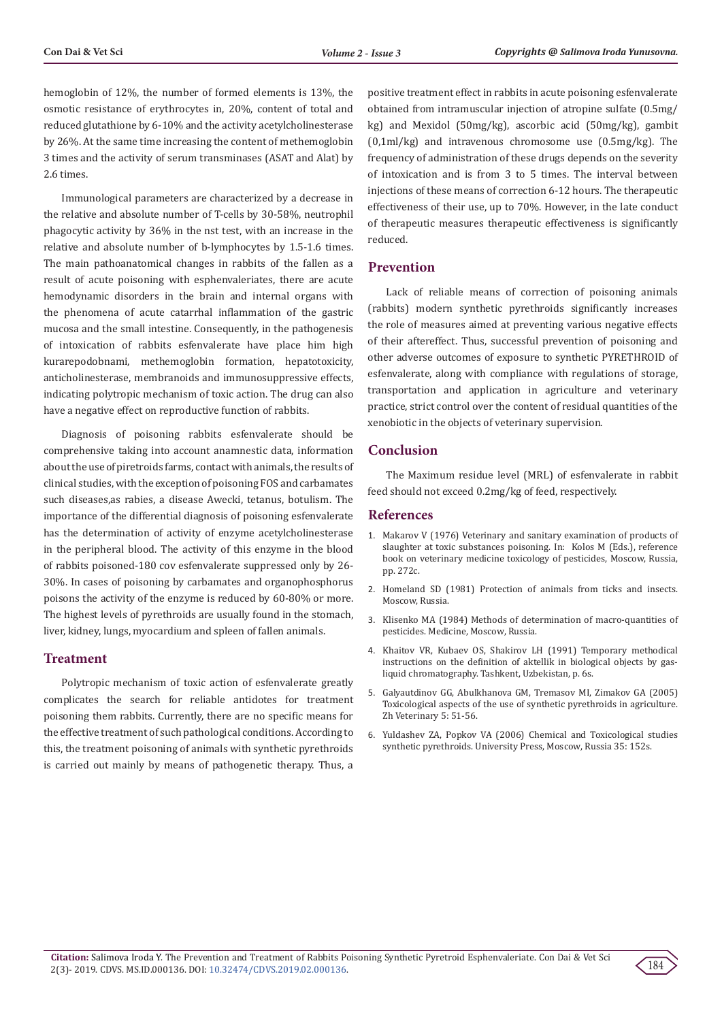hemoglobin of 12%, the number of formed elements is 13%, the osmotic resistance of erythrocytes in, 20%, content of total and reduced glutathione by 6-10% and the activity acetylcholinesterase by 26%. At the same time increasing the content of methemoglobin 3 times and the activity of serum transminases (ASAT and Alat) by 2.6 times.

Immunological parameters are characterized by a decrease in the relative and absolute number of T-cells by 30-58%, neutrophil phagocytic activity by 36% in the nst test, with an increase in the relative and absolute number of b-lymphocytes by 1.5-1.6 times. The main pathoanatomical changes in rabbits of the fallen as a result of acute poisoning with esphenvaleriates, there are acute hemodynamic disorders in the brain and internal organs with the phenomena of acute catarrhal inflammation of the gastric mucosa and the small intestine. Consequently, in the pathogenesis of intoxication of rabbits esfenvalerate have place him high kurarepodobnami, methemoglobin formation, hepatotoxicity, anticholinesterase, membranoids and immunosuppressive effects, indicating polytropic mechanism of toxic action. The drug can also have a negative effect on reproductive function of rabbits.

Diagnosis of poisoning rabbits esfenvalerate should be comprehensive taking into account anamnestic data, information about the use of piretroids farms, contact with animals, the results of clinical studies, with the exception of poisoning FOS and carbamates such diseases,as rabies, a disease Awecki, tetanus, botulism. The importance of the differential diagnosis of poisoning esfenvalerate has the determination of activity of enzyme acetylcholinesterase in the peripheral blood. The activity of this enzyme in the blood of rabbits poisoned-180 cov esfenvalerate suppressed only by 26- 30%. In cases of poisoning by carbamates and organophosphorus poisons the activity of the enzyme is reduced by 60-80% or more. The highest levels of pyrethroids are usually found in the stomach, liver, kidney, lungs, myocardium and spleen of fallen animals.

# **Treatment**

Polytropic mechanism of toxic action of esfenvalerate greatly complicates the search for reliable antidotes for treatment poisoning them rabbits. Currently, there are no specific means for the effective treatment of such pathological conditions. According to this, the treatment poisoning of animals with synthetic pyrethroids is carried out mainly by means of pathogenetic therapy. Thus, a

positive treatment effect in rabbits in acute poisoning esfenvalerate obtained from intramuscular injection of atropine sulfate (0.5mg/ kg) and Mexidol (50mg/kg), ascorbic acid (50mg/kg), gambit (0,1ml/kg) and intravenous chromosome use (0.5mg/kg). The frequency of administration of these drugs depends on the severity of intoxication and is from 3 to 5 times. The interval between injections of these means of correction 6-12 hours. The therapeutic effectiveness of their use, up to 70%. However, in the late conduct of therapeutic measures therapeutic effectiveness is significantly reduced.

#### **Prevention**

Lack of reliable means of correction of poisoning animals (rabbits) modern synthetic pyrethroids significantly increases the role of measures aimed at preventing various negative effects of their aftereffect. Thus, successful prevention of poisoning and other adverse outcomes of exposure to synthetic PYRETHROID of esfenvalerate, along with compliance with regulations of storage, transportation and application in agriculture and veterinary practice, strict control over the content of residual quantities of the xenobiotic in the objects of veterinary supervision.

# **Conclusion**

The Maximum residue level (MRL) of esfenvalerate in rabbit feed should not exceed 0.2mg/kg of feed, respectively.

#### **References**

- 1. Makarov V (1976) Veterinary and sanitary examination of products of slaughter at toxic substances poisoning. In: Kolos M (Eds.), reference book on veterinary medicine toxicology of pesticides, Moscow, Russia, pp. 272с.
- 2. Homeland SD (1981) Protection of animals from ticks and insects. Moscow, Russia.
- 3. Klisenko MA (1984) Methods of determination of macro-quantities of pesticides. Medicine, Moscow, Russia.
- 4. Khaitov VR, Kubaev OS, Shakirov LH (1991) Temporary methodical instructions on the definition of aktellik in biological objects by gasliquid chromatography. Tashkent, Uzbekistan, p. 6s.
- 5. Galyautdinov GG, Abulkhanova GM, Tremasov MI, Zimakov GA (2005) Toxicological aspects of the use of synthetic pyrethroids in agriculture. Zh Veterinary 5: 51-56.
- 6. Yuldashev ZA, Popkov VA (2006) Chemical and Toxicological studies synthetic pyrethroids. University Press, Moscow, Russia 35: 152s.